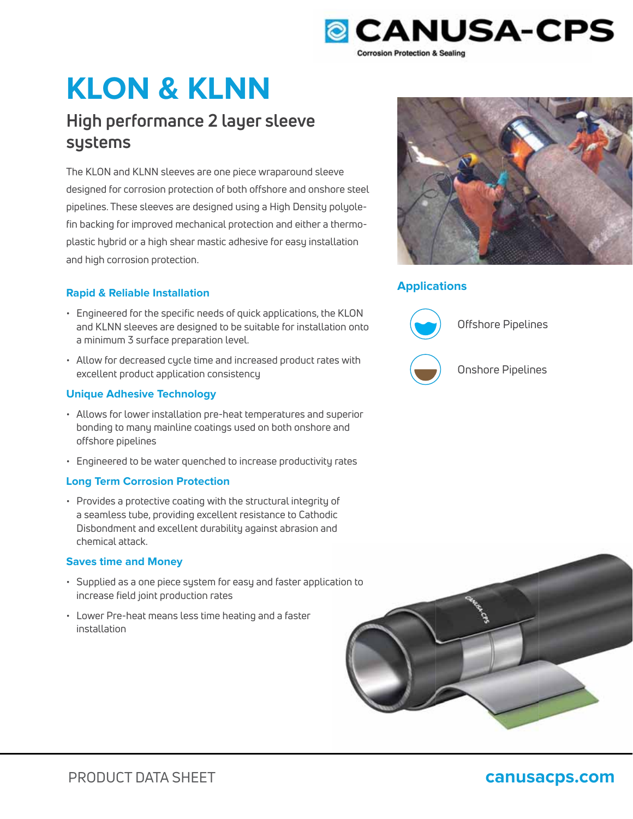

# **KLON & KLNN**

# **High performance 2 layer sleeve systems**

The KLON and KLNN sleeves are one piece wraparound sleeve designed for corrosion protection of both offshore and onshore steel pipelines. These sleeves are designed using a High Density polyolefin backing for improved mechanical protection and either a thermoplastic hybrid or a high shear mastic adhesive for easy installation and high corrosion protection.

## **Applications Rapid & Reliable Installation**

- Engineered for the specific needs of quick applications, the KLON and KLNN sleeves are designed to be suitable for installation onto a minimum 3 surface preparation level.
- Allow for decreased cycle time and increased product rates with excellent product application consistency

### **Unique Adhesive Technology**

- Allows for lower installation pre-heat temperatures and superior bonding to many mainline coatings used on both onshore and offshore pipelines
- Engineered to be water quenched to increase productivity rates

### **Long Term Corrosion Protection**

• Provides a protective coating with the structural integrity of a seamless tube, providing excellent resistance to Cathodic Disbondment and excellent durability against abrasion and chemical attack.

### **Saves time and Money**

- $\cdot$  Supplied as a one piece system for easy and faster application to increase field joint production rates
- Lower Pre-heat means less time heating and a faster installation





Offshore Pipelines